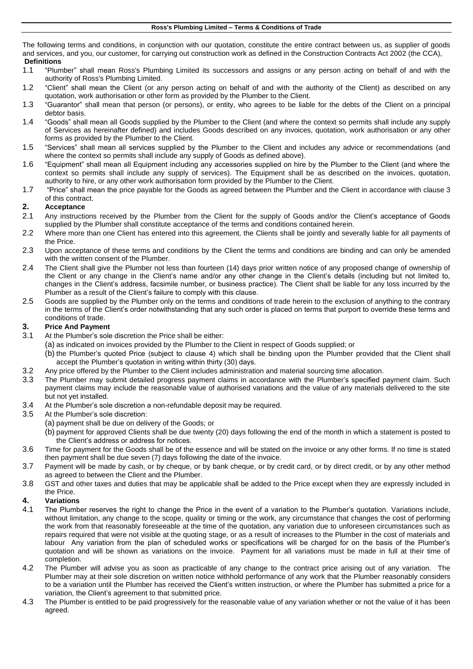The following terms and conditions, in conjunction with our quotation, constitute the entire contract between us, as supplier of goods and services, and you, our customer, for carrying out construction work as defined in the Construction Contracts Act 2002 (the CCA), **Definitions**

- 1.1 "Plumber" shall mean Ross's Plumbing Limited its successors and assigns or any person acting on behalf of and with the authority of Ross's Plumbing Limited.
- 1.2 "Client" shall mean the Client (or any person acting on behalf of and with the authority of the Client) as described on any quotation, work authorisation or other form as provided by the Plumber to the Client.
- 1.3 "Guarantor" shall mean that person (or persons), or entity, who agrees to be liable for the debts of the Client on a principal debtor basis.
- 1.4 "Goods" shall mean all Goods supplied by the Plumber to the Client (and where the context so permits shall include any supply of Services as hereinafter defined) and includes Goods described on any invoices, quotation, work authorisation or any other forms as provided by the Plumber to the Client.
- 1.5 "Services" shall mean all services supplied by the Plumber to the Client and includes any advice or recommendations (and where the context so permits shall include any supply of Goods as defined above).
- 1.6 "Equipment" shall mean all Equipment including any accessories supplied on hire by the Plumber to the Client (and where the context so permits shall include any supply of services). The Equipment shall be as described on the invoices, quotation, authority to hire, or any other work authorisation form provided by the Plumber to the Client.
- 1.7 "Price" shall mean the price payable for the Goods as agreed between the Plumber and the Client in accordance with clause [3](#page-0-0) of this contract.

## **2. Acceptance**

- 2.1 Any instructions received by the Plumber from the Client for the supply of Goods and/or the Client's acceptance of Goods supplied by the Plumber shall constitute acceptance of the terms and conditions contained herein.
- 2.2 Where more than one Client has entered into this agreement, the Clients shall be jointly and severally liable for all payments of the Price.
- 2.3 Upon acceptance of these terms and conditions by the Client the terms and conditions are binding and can only be amended with the written consent of the Plumber.
- 2.4 The Client shall give the Plumber not less than fourteen (14) days prior written notice of any proposed change of ownership of the Client or any change in the Client's name and/or any other change in the Client's details (including but not limited to, changes in the Client's address, facsimile number, or business practice). The Client shall be liable for any loss incurred by the Plumber as a result of the Client's failure to comply with this clause.
- 2.5 Goods are supplied by the Plumber only on the terms and conditions of trade herein to the exclusion of anything to the contrary in the terms of the Client's order notwithstanding that any such order is placed on terms that purport to override these terms and conditions of trade.

# <span id="page-0-0"></span>**3. Price And Payment**

- 3.1 At the Plumber's sole discretion the Price shall be either:
	- (a) as indicated on invoices provided by the Plumber to the Client in respect of Goods supplied; or
	- (b) the Plumber's quoted Price (subject to clause 4) which shall be binding upon the Plumber provided that the Client shall accept the Plumber's quotation in writing within thirty (30) days.
- 3.2 Any price offered by the Plumber to the Client includes administration and material sourcing time allocation.
- 3.3 The Plumber may submit detailed progress payment claims in accordance with the Plumber's specified payment claim. Such payment claims may include the reasonable value of authorised variations and the value of any materials delivered to the site but not yet installed.
- 3.4 At the Plumber's sole discretion a non-refundable deposit may be required.
- 3.5 At the Plumber's sole discretion:
	- (a) payment shall be due on delivery of the Goods; or
	- (b) payment for approved Clients shall be due twenty (20) days following the end of the month in which a statement is posted to the Client's address or address for notices.
- 3.6 Time for payment for the Goods shall be of the essence and will be stated on the invoice or any other forms. If no time is stated then payment shall be due seven (7) days following the date of the invoice.
- 3.7 Payment will be made by cash, or by cheque, or by bank cheque, or by credit card, or by direct credit, or by any other method as agreed to between the Client and the Plumber.
- 3.8 GST and other taxes and duties that may be applicable shall be added to the Price except when they are expressly included in the Price.

## **4. Variations**

- 4.1 The Plumber reserves the right to change the Price in the event of a variation to the Plumber's quotation. Variations include, without limitation, any change to the scope, quality or timing or the work, any circumstance that changes the cost of performing the work from that reasonably foreseeable at the time of the quotation, any variation due to unforeseen circumstances such as repairs required that were not visible at the quoting stage, or as a result of increases to the Plumber in the cost of materials and labour Any variation from the plan of scheduled works or specifications will be charged for on the basis of the Plumber's quotation and will be shown as variations on the invoice. Payment for all variations must be made in full at their time of completion.
- 4.2 The Plumber will advise you as soon as practicable of any change to the contract price arising out of any variation. The Plumber may at their sole discretion on written notice withhold performance of any work that the Plumber reasonably considers to be a variation until the Plumber has received the Client's written instruction, or where the Plumber has submitted a price for a variation, the Client's agreement to that submitted price.
- 4.3 The Plumber is entitled to be paid progressively for the reasonable value of any variation whether or not the value of it has been agreed.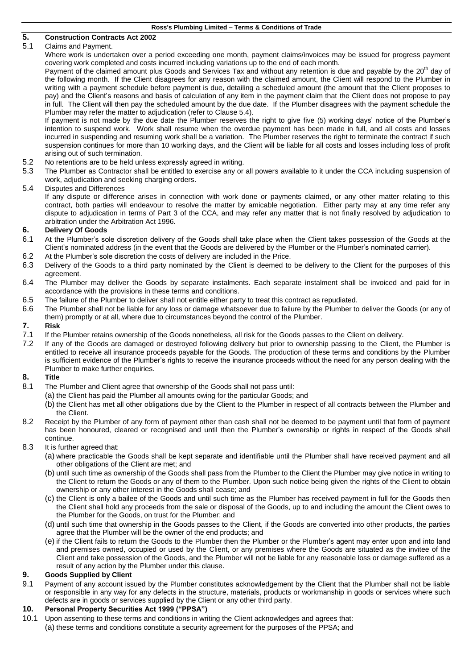| Ross's Plumbing Limited - Terms & Conditions of Trade |  |  |  |  |  |
|-------------------------------------------------------|--|--|--|--|--|
|-------------------------------------------------------|--|--|--|--|--|

# **5. Construction Contracts Act 2002**

## Claims and Payment.

Where work is undertaken over a period exceeding one month, payment claims/invoices may be issued for progress payment covering work completed and costs incurred including variations up to the end of each month.

Payment of the claimed amount plus Goods and Services Tax and without any retention is due and payable by the  $20<sup>th</sup>$  day of the following month. If the Client disagrees for any reason with the claimed amount, the Client will respond to the Plumber in writing with a payment schedule before payment is due, detailing a scheduled amount (the amount that the Client proposes to pay) and the Client's reasons and basis of calculation of any item in the payment claim that the Client does not propose to pay in full. The Client will then pay the scheduled amount by the due date. If the Plumber disagrees with the payment schedule the Plumber may refer the matter to adjudication (refer to Clause 5.4).

If payment is not made by the due date the Plumber reserves the right to give five (5) working days' notice of the Plumber's intention to suspend work. Work shall resume when the overdue payment has been made in full, and all costs and losses incurred in suspending and resuming work shall be a variation. The Plumber reserves the right to terminate the contract if such suspension continues for more than 10 working days, and the Client will be liable for all costs and losses including loss of profit arising out of such termination.

- 5.2 No retentions are to be held unless expressly agreed in writing.
- 5.3 The Plumber as Contractor shall be entitled to exercise any or all powers available to it under the CCA including suspension of work, adjudication and seeking charging orders.

#### 5.4 Disputes and Differences

If any dispute or difference arises in connection with work done or payments claimed, or any other matter relating to this contract, both parties will endeavour to resolve the matter by amicable negotiation. Either party may at any time refer any dispute to adjudication in terms of Part 3 of the CCA, and may refer any matter that is not finally resolved by adjudication to arbitration under the Arbitration Act 1996.

# **6. Delivery Of Goods**

- At the Plumber's sole discretion delivery of the Goods shall take place when the Client takes possession of the Goods at the Client's nominated address (in the event that the Goods are delivered by the Plumber or the Plumber's nominated carrier).
- 6.2 At the Plumber's sole discretion the costs of delivery are included in the Price.
- 6.3 Delivery of the Goods to a third party nominated by the Client is deemed to be delivery to the Client for the purposes of this agreement.
- 6.4 The Plumber may deliver the Goods by separate instalments. Each separate instalment shall be invoiced and paid for in accordance with the provisions in these terms and conditions.
- 6.5 The failure of the Plumber to deliver shall not entitle either party to treat this contract as repudiated.
- 6.6 The Plumber shall not be liable for any loss or damage whatsoever due to failure by the Plumber to deliver the Goods (or any of them) promptly or at all, where due to circumstances beyond the control of the Plumber.

# **7. Risk**

- 7.1 If the Plumber retains ownership of the Goods nonetheless, all risk for the Goods passes to the Client on delivery.
- 7.2 If any of the Goods are damaged or destroyed following delivery but prior to ownership passing to the Client, the Plumber is entitled to receive all insurance proceeds payable for the Goods. The production of these terms and conditions by the Plumber is sufficient evidence of the Plumber's rights to receive the insurance proceeds without the need for any person dealing with the Plumber to make further enquiries.

## **8. Title**

- 8.1 The Plumber and Client agree that ownership of the Goods shall not pass until:
	- (a) the Client has paid the Plumber all amounts owing for the particular Goods; and
		- (b) the Client has met all other obligations due by the Client to the Plumber in respect of all contracts between the Plumber and the Client.
- 8.2 Receipt by the Plumber of any form of payment other than cash shall not be deemed to be payment until that form of payment has been honoured, cleared or recognised and until then the Plumber's ownership or rights in respect of the Goods shall continue.
- 8.3 It is further agreed that:
	- (a) where practicable the Goods shall be kept separate and identifiable until the Plumber shall have received payment and all other obligations of the Client are met; and
	- (b) until such time as ownership of the Goods shall pass from the Plumber to the Client the Plumber may give notice in writing to the Client to return the Goods or any of them to the Plumber. Upon such notice being given the rights of the Client to obtain ownership or any other interest in the Goods shall cease; and
	- (c) the Client is only a bailee of the Goods and until such time as the Plumber has received payment in full for the Goods then the Client shall hold any proceeds from the sale or disposal of the Goods, up to and including the amount the Client owes to the Plumber for the Goods, on trust for the Plumber; and
	- (d) until such time that ownership in the Goods passes to the Client, if the Goods are converted into other products, the parties agree that the Plumber will be the owner of the end products; and
	- (e) if the Client fails to return the Goods to the Plumber then the Plumber or the Plumber's agent may enter upon and into land and premises owned, occupied or used by the Client, or any premises where the Goods are situated as the invitee of the Client and take possession of the Goods, and the Plumber will not be liable for any reasonable loss or damage suffered as a result of any action by the Plumber under this clause.

## **9. Goods Supplied by Client**

9.1 Payment of any account issued by the Plumber constitutes acknowledgement by the Client that the Plumber shall not be liable or responsible in any way for any defects in the structure, materials, products or workmanship in goods or services where such defects are in goods or services supplied by the Client or any other third party.

#### **10. Personal Property Securities Act 1999 ("PPSA")**

<span id="page-1-0"></span>10.1 Upon assenting to these terms and conditions in writing the Client acknowledges and agrees that: (a) these terms and conditions constitute a security agreement for the purposes of the PPSA; and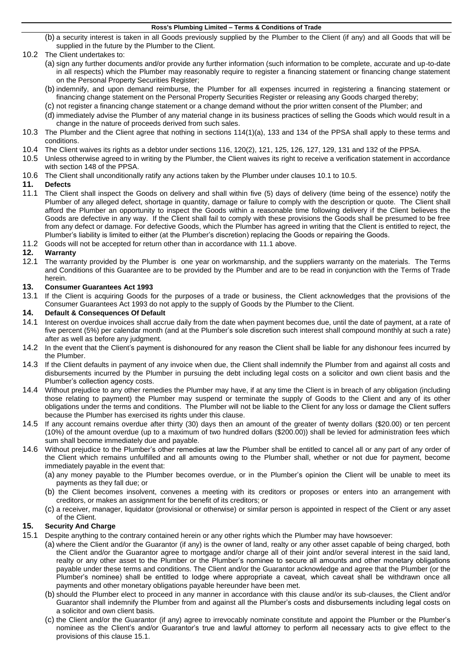#### **Ross's Plumbing Limited – Terms & Conditions of Trade**

(b) a security interest is taken in all Goods previously supplied by the Plumber to the Client (if any) and all Goods that will be supplied in the future by the Plumber to the Client.

## 10.2 The Client undertakes to:

- (a) sign any further documents and/or provide any further information (such information to be complete, accurate and up-to-date in all respects) which the Plumber may reasonably require to register a financing statement or financing change statement on the Personal Property Securities Register;
- (b) indemnify, and upon demand reimburse, the Plumber for all expenses incurred in registering a financing statement or financing change statement on the Personal Property Securities Register or releasing any Goods charged thereby;
- (c) not register a financing change statement or a change demand without the prior written consent of the Plumber; and
- (d) immediately advise the Plumber of any material change in its business practices of selling the Goods which would result in a change in the nature of proceeds derived from such sales.
- 10.3 The Plumber and the Client agree that nothing in sections 114(1)(a), 133 and 134 of the PPSA shall apply to these terms and conditions.
- 10.4 The Client waives its rights as a debtor under sections 116, 120(2), 121, 125, 126, 127, 129, 131 and 132 of the PPSA.
- <span id="page-2-0"></span>10.5 Unless otherwise agreed to in writing by the Plumber, the Client waives its right to receive a verification statement in accordance with section 148 of the PPSA.
- 10.6 The Client shall unconditionally ratify any actions taken by the Plumber under clause[s 10.1](#page-1-0) to [10.5.](#page-2-0)

#### **11. Defects**

- <span id="page-2-1"></span>11.1 The Client shall inspect the Goods on delivery and shall within five (5) days of delivery (time being of the essence) notify the Plumber of any alleged defect, shortage in quantity, damage or failure to comply with the description or quote. The Client shall afford the Plumber an opportunity to inspect the Goods within a reasonable time following delivery if the Client believes the Goods are defective in any way. If the Client shall fail to comply with these provisions the Goods shall be presumed to be free from any defect or damage. For defective Goods, which the Plumber has agreed in writing that the Client is entitled to reject, the Plumber's liability is limited to either (at the Plumber's discretion) replacing the Goods or repairing the Goods.
- 11.2 Goods will not be accepted for return other than in accordance with [11.1](#page-2-1) above.

#### **12. Warranty**

12.1 The warranty provided by the Plumber is one year on workmanship, and the suppliers warranty on the materials. The Terms and Conditions of this Guarantee are to be provided by the Plumber and are to be read in conjunction with the Terms of Trade herein.

#### **13. Consumer Guarantees Act 1993**

13.1 If the Client is acquiring Goods for the purposes of a trade or business, the Client acknowledges that the provisions of the Consumer Guarantees Act 1993 do not apply to the supply of Goods by the Plumber to the Client.

#### **14. Default & Consequences Of Default**

- 14.1 Interest on overdue invoices shall accrue daily from the date when payment becomes due, until the date of payment, at a rate of five percent (5%) per calendar month (and at the Plumber's sole discretion such interest shall compound monthly at such a rate) after as well as before any judgment.
- 14.2 In the event that the Client's payment is dishonoured for any reason the Client shall be liable for any dishonour fees incurred by the Plumber.
- 14.3 If the Client defaults in payment of any invoice when due, the Client shall indemnify the Plumber from and against all costs and disbursements incurred by the Plumber in pursuing the debt including legal costs on a solicitor and own client basis and the Plumber's collection agency costs.
- 14.4 Without prejudice to any other remedies the Plumber may have, if at any time the Client is in breach of any obligation (including those relating to payment) the Plumber may suspend or terminate the supply of Goods to the Client and any of its other obligations under the terms and conditions. The Plumber will not be liable to the Client for any loss or damage the Client suffers because the Plumber has exercised its rights under this clause.
- 14.5 If any account remains overdue after thirty (30) days then an amount of the greater of twenty dollars (\$20.00) or ten percent (10%) of the amount overdue (up to a maximum of two hundred dollars (\$200.00)) shall be levied for administration fees which sum shall become immediately due and payable.
- 14.6 Without prejudice to the Plumber's other remedies at law the Plumber shall be entitled to cancel all or any part of any order of the Client which remains unfulfilled and all amounts owing to the Plumber shall, whether or not due for payment, become immediately payable in the event that:
	- (a) any money payable to the Plumber becomes overdue, or in the Plumber's opinion the Client will be unable to meet its payments as they fall due; or
	- (b) the Client becomes insolvent, convenes a meeting with its creditors or proposes or enters into an arrangement with creditors, or makes an assignment for the benefit of its creditors; or
	- (c) a receiver, manager, liquidator (provisional or otherwise) or similar person is appointed in respect of the Client or any asset of the Client.

#### **15. Security And Charge**

- <span id="page-2-2"></span>15.1 Despite anything to the contrary contained herein or any other rights which the Plumber may have howsoever:
	- (a) where the Client and/or the Guarantor (if any) is the owner of land, realty or any other asset capable of being charged, both the Client and/or the Guarantor agree to mortgage and/or charge all of their joint and/or several interest in the said land, realty or any other asset to the Plumber or the Plumber's nominee to secure all amounts and other monetary obligations payable under these terms and conditions. The Client and/or the Guarantor acknowledge and agree that the Plumber (or the Plumber's nominee) shall be entitled to lodge where appropriate a caveat, which caveat shall be withdrawn once all payments and other monetary obligations payable hereunder have been met.
	- (b) should the Plumber elect to proceed in any manner in accordance with this clause and/or its sub-clauses, the Client and/or Guarantor shall indemnify the Plumber from and against all the Plumber's costs and disbursements including legal costs on a solicitor and own client basis.
	- (c) the Client and/or the Guarantor (if any) agree to irrevocably nominate constitute and appoint the Plumber or the Plumber's nominee as the Client's and/or Guarantor's true and lawful attorney to perform all necessary acts to give effect to the provisions of this clause [15.1.](#page-2-2)